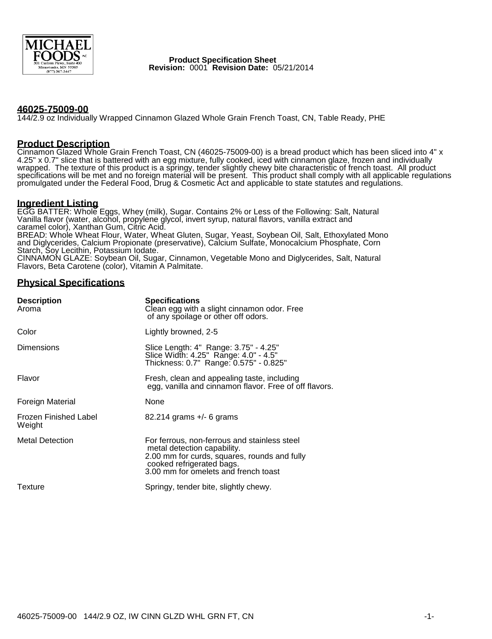

 **Product Specification Sheet Revision:** 0001 **Revision Date:** 05/21/2014

### **46025-75009-00**

144/2.9 oz Individually Wrapped Cinnamon Glazed Whole Grain French Toast, CN, Table Ready, PHE

### **Product Description**

Cinnamon Glazed Whole Grain French Toast, CN (46025-75009-00) is a bread product which has been sliced into 4" x 4.25" x 0.7" slice that is battered with an egg mixture, fully cooked, iced with cinnamon glaze, frozen and individually wrapped. The texture of this product is a springy, tender slightly chewy bite characteristic of french toast. All product specifications will be met and no foreign material will be present. This product shall comply with all applicable regulations promulgated under the Federal Food, Drug & Cosmetic Act and applicable to state statutes and regulations.

### **Ingredient Listing**

EGG BATTER: Whole Eggs, Whey (milk), Sugar. Contains 2% or Less of the Following: Salt, Natural Vanilla flavor (water, alcohol, propylene glycol, invert syrup, natural flavors, vanilla extract and caramel color), Xanthan Gum, Citric Acid. BREAD: Whole Wheat Flour, Water, Wheat Gluten, Sugar, Yeast, Soybean Oil, Salt, Ethoxylated Mono and Diglycerides, Calcium Propionate (preservative), Calcium Sulfate, Monocalcium Phosphate, Corn Starch, Soy Lecithin, Potassium Iodate. CINNAMON GLAZE: Soybean Oil, Sugar, Cinnamon, Vegetable Mono and Diglycerides, Salt, Natural Flavors, Beta Carotene (color), Vitamin A Palmitate.

# **Physical Specifications**

| <b>Description</b><br>Aroma            | <b>Specifications</b><br>Clean egg with a slight cinnamon odor. Free<br>of any spoilage or other off odors.                                                                                      |  |
|----------------------------------------|--------------------------------------------------------------------------------------------------------------------------------------------------------------------------------------------------|--|
| Color                                  | Lightly browned, 2-5                                                                                                                                                                             |  |
| Dimensions                             | Slice Length: 4" Range: 3.75" - 4.25"<br>Slice Width: 4.25" Range: 4.0" - 4.5"<br>Thickness: 0.7" Range: 0.575" - 0.825"                                                                         |  |
| Flavor                                 | Fresh, clean and appealing taste, including<br>egg, vanilla and cinnamon flavor. Free of off flavors.                                                                                            |  |
| Foreign Material                       | None                                                                                                                                                                                             |  |
| <b>Frozen Finished Label</b><br>Weight | 82.214 grams +/- 6 grams                                                                                                                                                                         |  |
| <b>Metal Detection</b>                 | For ferrous, non-ferrous and stainless steel<br>metal detection capability.<br>2.00 mm for curds, squares, rounds and fully<br>cooked refrigerated bags.<br>3.00 mm for omelets and french toast |  |
| Texture                                | Springy, tender bite, slightly chewy.                                                                                                                                                            |  |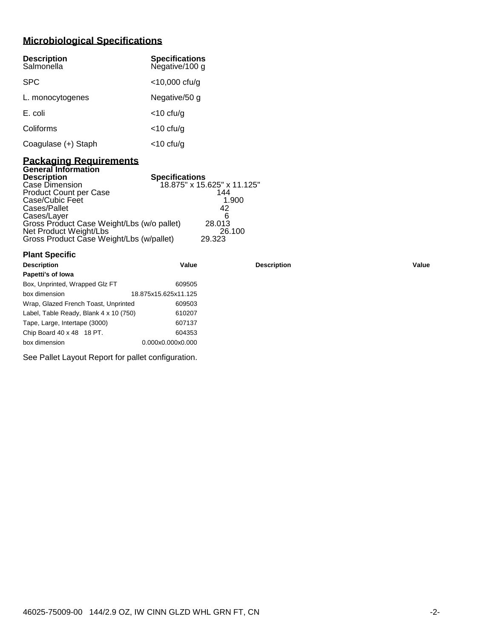# **Microbiological Specifications**

| <b>Description</b><br>Salmonella | <b>Specifications</b><br>Negative/100 g |
|----------------------------------|-----------------------------------------|
| <b>SPC</b>                       | $<$ 10,000 cfu/g                        |
| L. monocytogenes                 | Negative/50 g                           |
| E. coli                          | $<$ 10 cfu/g                            |
| Coliforms                        | $<$ 10 cfu/g                            |
| Coagulase (+) Staph              | <10 cfu/g                               |

### **Packaging Requirements General Information**

**Plant Specific**

| <b>Description</b>                         | <b>Specifications</b>       |
|--------------------------------------------|-----------------------------|
| Case Dimension                             | 18.875" x 15.625" x 11.125" |
| <b>Product Count per Case</b>              | 144                         |
| Case/Cubic Feet                            | 1.900                       |
| Cases/Pallet                               | 42                          |
| Cases/Layer                                | ิค                          |
| Gross Product Case Weight/Lbs (w/o pallet) | 28.013                      |
| Net Product Weight/Lbs                     | 26.100                      |
| Gross Product Case Weight/Lbs (w/pallet)   | 29.323                      |

| <b>Description</b>                     | Value                | <b>Description</b> | Value |
|----------------------------------------|----------------------|--------------------|-------|
| Papetti's of lowa                      |                      |                    |       |
| Box, Unprinted, Wrapped Glz FT         | 609505               |                    |       |
| box dimension                          | 18.875x15.625x11.125 |                    |       |
| Wrap, Glazed French Toast, Unprinted   | 609503               |                    |       |
| Label, Table Ready, Blank 4 x 10 (750) | 610207               |                    |       |
| Tape, Large, Intertape (3000)          | 607137               |                    |       |
| Chip Board 40 x 48 18 PT.              | 604353               |                    |       |
| box dimension                          | 0.000x0.000x0.000    |                    |       |
|                                        |                      |                    |       |

See Pallet Layout Report for pallet configuration.